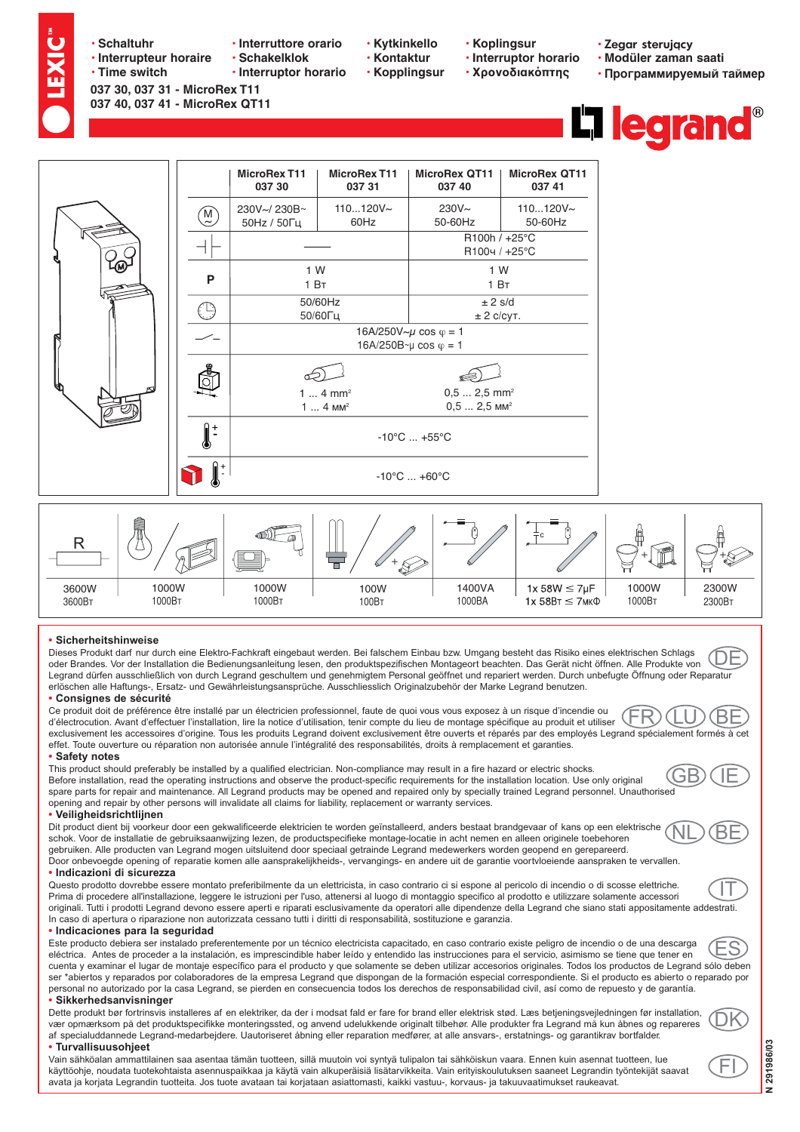- · Schaltuhr
	- · Interrupteur horaire • Time switch

037 30, 037 31 - MicroRex T11 037 40, 037 41 - MicroRex QT11

- · Interruttore orario
- · Schakelklok · Interruptor horario
- 
- · Kytkinkello
- · Kontaktur
- **· Kopplingsur**
- **· Koplingsur** · Interruptor horario

**· Χρονοδιακόπτης** 

- · Zegar sterujący
- · Modüler zaman saati • Программируемый таймер





## · Sicherheitshinweise

Dieses Produkt darf nur durch eine Elektro-Fachkraft eingebaut werden. Bei falschem Einbau bzw. Umgang besteht das Risiko eines elektrischen Schlags (DF oder Brandes. Vor der Installation die Bedienungsanleitung lesen, den produktspezifischen Montageort beachten. Das Gerät nicht öffnen. Alle Produkte von Legrand dürfen ausschließlich von durch Legrand geschultem und genehmigtem Personal geöffnet und repariert werden. Durch unbefugte Öffnung oder Reparatur erlöschen alle Haftungs-, Ersatz- und Gewährleistungsansprüche. Ausschliesslich Originalzubehör der Marke Legrand benutzen.

## • Consignes de sécurité

Ce produit doit de préférence être installé par un électricien professionnel, faute de quoi vous vous exposez à un risque d'incendie ou ВF d'électrocution. Avant d'effectuer l'installation, lire la notice d'utilisation, tenir compte du lieu de montage spécifique au produit et utiliser exclusivement les accessoires d'origine. Tous les produits Legrand doivent exclusivement être ouverts et réparés par des employés Legrand spécialement formés à cet effet. Toute ouverture ou réparation non autorisée annule l'intégralité des responsabilités, droits à remplacement et garanties,

## • Safety notes

This product should preferably be installed by a qualified electrician. Non-compliance may result in a fire hazard or electric shocks. Before installation, read the operating instructions and observe the product-specific requirements for the installation location. Use only original spare parts for repair and maintenance. All Legrand products may be opened and repaired only by specially trained Legrand personnel. Unauthorised opening and repair by other persons will invalidate all claims for liability, replacement or warranty services.

## Veiligheidsrichtlijnen

Dit product dient bij voorkeur door een gekwalificeerde elektricien te worden geïnstalleerd, anders bestaat brandgevaar of kans op een elektrische schok. Voor de installatie de gebruiksaanwijzing lezen, de productspecifieke montage-locatie in acht nemen en alleen originele toebehoren gebruiken. Alle producten van Legrand mogen uitsluitend door speciaal getrainde Legrand medewerkers worden geopend en gerepareerd. Door onbevoegde opening of reparatie komen alle aansprakelijkheids-, vervangings- en andere uit de garantie voortvloeiende aanspraken te vervallen.

## · Indicazioni di sicurezza

Questo prodotto dovrebbe essere montato preferibilmente da un elettricista, in caso contrario ci si espone al pericolo di incendio o di scosse elettriche. Prima di procedere all'installazione, leggere le istruzioni per l'uso, attenersi al luogo di montaggio specifico al prodotto e utilizzare solamente accessori originali. Tutti i prodotti Legrand devono essere aperti e riparati esclusivamente da operatori alle dipendenze della Legrand che siano stati appositamente addestrati. In caso di apertura o riparazione non autorizzata cessano tutti i diritti di responsabilità, sostituzione e garanzia.

## · Indicaciones para la seguridad

Este producto debiera ser instalado preferentemente por un técnico electricista capacitado, en caso contrario existe peligro de incendio o de una descarga S eléctrica. Antes de proceder a la instalación, es imprescindible haber leído y entendido las instrucciones para el servicio, asimismo se tiene que tener en cuenta y examinar el lugar de montaje específico para el producto y que solamente se deben utilizar accesorios originales. Todos los productos de Legrand sólo deben ser \*abiertos y reparados por colaboradores de la empresa Legrand que dispongan de la formación especial correspondiente. Si el producto es abierto o reparado por personal no autorizado por la casa Legrand, se pierden en consecuencia todos los derechos de responsabilidad civil, así como de repuesto y de garantía.

## • Sikkerhedsanvisninger

Dette produkt bør fortrinsvis installeres af en elektriker, da der i modsat fald er fare for brand eller elektrisk stød. Læs betjeningsvejledningen før installation, vær opmærksom på det produktspecifikke monteringssted, og anvend udelukkende originalt tilbehør. Alle produkter fra Legrand må kun åbnes og repareres af specialuddannede Legrand-medarbeidere. Uautoriseret åbning eller reparation medfører, at alle ansvars-, erstatnings- og garantikrav bortfalder.

#### • Turvallisuusohjeet

Vain sähköalan ammattilainen saa asentaa tämän tuotteen, sillä muutoin voi syntyä tulipalon tai sähköiskun vaara. Ennen kuin asennat tuotteen, lue käyttöohje, noudata tuotekohtaista asennuspaikkaa ja käytä vain alkuperäisiä lisätarvikkeita. Vain erityiskoulutuksen saaneet Legrandin työntekijät saavat avata ja korjata Legrandin tuotteita. Jos tuote avataan tai korjataan asiattomasti, kaikki vastuu-, korvaus- ja takuuvaatimukset raukeavat.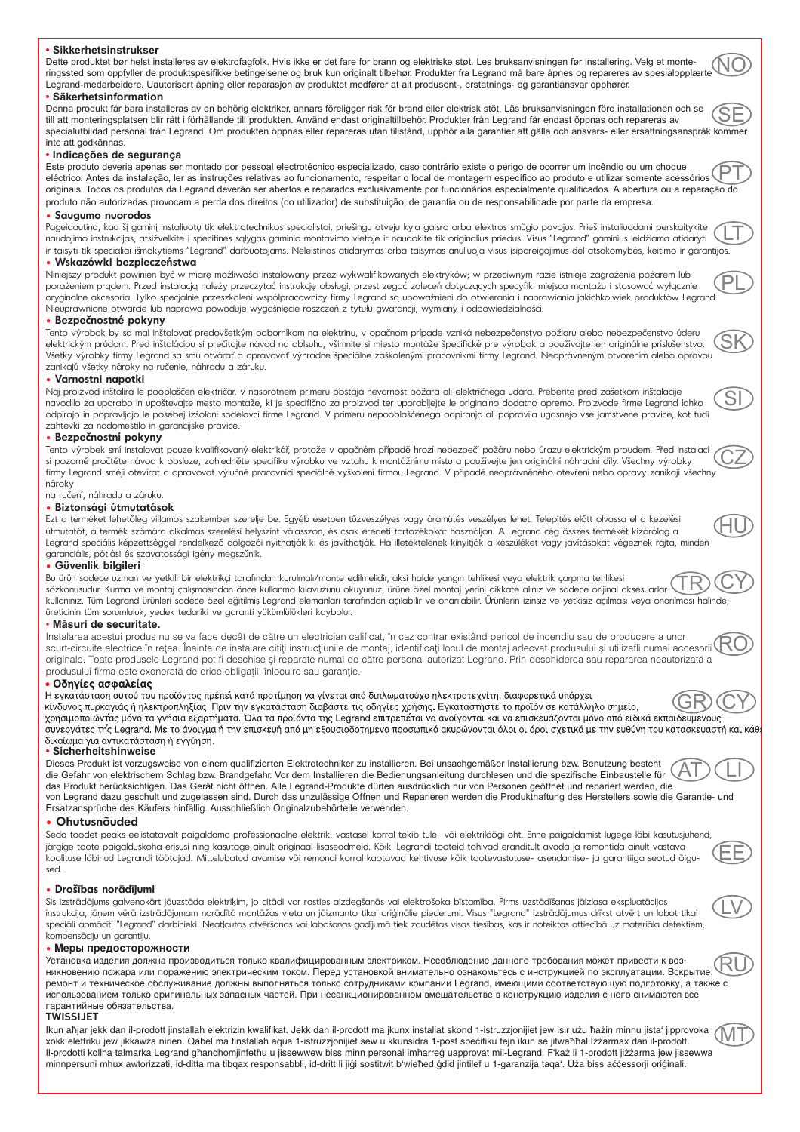#### **• Sikkerhetsinstrukser** Dette produktet bør helst installeres av elektrofagfolk. Hvis ikke er det fare for brann og elektriske støt. Les bruksanvisningen før installering. Velg et monte-NO ringssted som oppfyller de produktspesifikke betingelsene og bruk kun originalt tilbehør. Produkter fra Legrand må bare åpnes og repareres av spesialopplærte Legrand-medarbeidere. Uautorisert åpning eller reparasjon av produktet medfører at alt produsent-, erstatnings- og garantiansvar opphører. **• Säkerhetsinformation** Denna produkt får bara installeras av en behörig elektriker, annars föreligger risk för brand eller elektrisk stöt. Läs bruksanvisningen före installationen och se SE till att monteringsplatsen blir rätt i förhållande till produkten. Använd endast originaltillbehör. Produkter från Legrand får endast öppnas och repareras av specialutbildad personal från Legrand. Om produkten öppnas eller repareras utan tillstånd, upphör alla garantier att gälla och ansvars- eller ersättningsanspråk kommer inte att godkännas. **• Indicações de segurança** Este produto deveria apenas ser montado por pessoal electrotécnico especializado, caso contrário existe o perigo de ocorrer um incêndio ou um choque PT eléctrico. Antes da instalação, ler as instruções relativas ao funcionamento, respeitar o local de montagem específico ao produto e utilizar somente acessórios originais. Todos os produtos da Legrand deverão ser abertos e reparados exclusivamente por funcionários especialmente qualificados. A abertura ou a reparação do produto não autorizadas provocam a perda dos direitos (do utilizador) de substituição, de garantia ou de responsabilidade por parte da empresa. **• Saugumo nuorodos** Pageidautina, kad šį gaminį instaliuotų tik elektrotechnikos specialistai, priešingu atveju kyla gaisro arba elektros smūgio pavojus. Prieš instaliuodami perskaitykite LT naudojimo instrukcijas, atsižvelkite į specifines sąlygas gaminio montavimo vietoje ir naudokite tik originalius priedus. Visus "Legrand" gaminius leidžiama atidaryti ir taisyti tik specialiai išmokytiems "Legrand" darbuotojams. Neleistinas atidarymas arba taisymas anuliuoja visus įsipareigojimus dėl atsakomybės, keitimo ir garantijos. **• Wskazówki bezpieczeństwa** Niniejszy produkt powinien być w miarę możliwości instalowany przez wykwalifikowanych elektryków; w przeciwnym razie istnieje zagrożenie pożarem lub PL porażeniem prądem. Przed instalacją należy przeczytać instrukcję obsługi, przestrzegać zaleceń dotyczących specyfiki miejsca montażu i stosować wyłącznie oryginalne akcesoria. Tylko specjalnie przeszkoleni współpracownicy firmy Legrand są upoważnieni do otwierania i naprawiania jakichkolwiek produktów Legrand. Nieuprawnione otwarcie lub naprawa powoduje wygaśnięcie roszczeń z tytułu gwarancji, wymiany i odpowiedzialności. **• Bezpečnostné pokyny** Tento výrobok by sa mal inštalovať predovšetkým odborníkom na elektrinu, v opačnom prípade vzniká nebezpečenstvo požiaru alebo nebezpečenstvo úderu SK elektrickým prúdom. Pred inštaláciou si prečítajte návod na oblsuhu, všimnite si miesto montáže špecifické pre výrobok a používajte len originálne príslušenstvo. Všetky výrobky firmy Legrand sa smú otvárať a opravovať výhradne špeciálne zaškolenými pracovníkmi firmy Legrand. Neoprávneným otvorením alebo opravou zanikajú všetky nároky na ručenie, náhradu a záruku. **• Varnostni napotki** Naj proizvod inštalira le pooblaščen električar, v nasprotnem primeru obstaja nevarnost požara ali električnega udara. Preberite pred zašetkom inštalacije SI navodilo za uporabo in upoštevajte mesto montaže, ki je specifično za proizvod ter uporabljejte le originalno dodatno opremo. Proizvode firme Legrand lahko odpirajo in popravljajo le posebej izšolani sodelavci firme Legrand. V primeru nepooblaščenega odpiranja ali popravila ugasnejo vse jamstvene pravice, kot tudi zahtevki za nadomestilo in garancijske pravice. **• Bezpečnostní pokyny** Tento výrobek smí instalovat pouze kvalifikovaný elektrikář, protože v opačném případě hrozí nebezpečí požáru nebo úrazu elektrickým proudem. Před instalací CZ si pozorně pročtěte návod k obsluze, zohledněte specifiku výrobku ve vztahu k montážnímu místu a používejte jen originální náhradní díly. Všechny výrobky firmy Legrand smějí otevírat a opravovat výlučně pracovníci speciálně vyškolení firmou Legrand. V případě neoprávněného otevření nebo opravy zanikají všechny nároky na ručení, náhradu a záruku. **• Biztonsági útmutatások** Ezt a terméket lehetőleg villamos szakember szerelje be. Egyéb esetben tűzveszélyes vagy áramütés veszélyes lehet. Telepítés előtt olvassa el a kezelési HU útmutatót, a termék számára alkalmas szerelési helyszínt válasszon, és csak eredeti tartozékokat használjon. A Legrand cég összes termékét kizárólag a Legrand speciális képzettséggel rendelkező dolgozói nyithatják ki és javíthatják. Ha illetéktelenek kinyitják a készüléket vagy javításokat végeznek rajta, minden garanciális, pótlási és szavatossági igény megszűnik. **• Güvenlik bilgileri** Bu ürün sadece uzman ve yetkili bir elektrikçi tarafndan kurulmal/monte edilmelidir, aksi halde yangn tehlikesi veya elektrik çarpma tehlikesi TR CY sözkonusudur. Kurma ve montaj çalışmasından önce kullanma kılavuzunu okuyunuz, ürüne özel montaj yerini dikkate alınız ve sadece orijinal aksesuarlar kullannz. Tüm Legrand ürünleri sadece özel eğitilmiş Legrand elemanlar tarafndan açlabilir ve onarlabilir. Ürünlerin izinsiz ve yetkisiz açlmas veya onarlmas halinde, üreticinin tüm sorumluluk, yedek tedariki ve garanti yükümlülükleri kaybolur. • **Mæsuri de securitate.** Instalarea acestui produs nu se va face decât de cætre un electrician calificat, în caz contrar existând pericol de incendiu sau de producere a unor RO scurt-circuite electrice în rețea. Înainte de instalare citiți instrucțiunile de montaj, identificați locul de montaj adecvat produsului și utilizafli numai accesorii originale. Toate produsele Legrand pot fi deschise și reparate numai de către personal autorizat Legrand. Prin deschiderea sau repararea neautorizată a produsului firma este exonerată de orice obligații, înlocuire sau garanție. • Οδηνίες ασφαλείας Η εγκατάσταση αυτού του προϊόντος πρέπεί κατά προτίμηση να γίνεται από διπλωματούχο ηλεκτροτεχνίτη, διαφορετικά υπάρχει κίνδυνος πυρκαγιάς ή ηλεκτροπληξίας. Πριν την εγκατάσταση διαβάστε τις οδηγίες χρήσης. Εγκαταστήστε το προϊόν σε κατάλληλο σημείο, χρησιμοποιώντας μόνο τα γνήσια εξαρτήματα. Όλα τα προϊόντα της Legrand επιτρεπέται να ανοίγονται και να επισκευάζονται μόνο από ειδικά εκπαιδευμενους συνεργάτες της Legrand. Με το άνοιγμα ή την επισκευή από μη εξουσιοδοτημενο προσωπικό ακυρώνονται όλοι οι όροι σχετικά με την ευθύνη του κατασκευαστή και κάθ δικαίωμα για αντικατάσταση ή εγγύηση. **• Sicherheitshinweise** Dieses Produkt ist vorzugsweise von einem qualifizierten Elektrotechniker zu installieren. Bei unsachgemäßer Installierung bzw. Benutzung besteht AT LI die Gefahr von elektrischem Schlag bzw. Brandgefahr. Vor dem Installieren die Bedienungsanleitung durchlesen und die spezifische Einbaustelle für das Produkt berücksichtigen. Das Gerät nicht öffnen. Alle Legrand-Produkte dürfen ausdrücklich nur von Personen geöffnet und repariert werden, die von Legrand dazu geschult und zugelassen sind. Durch das unzulässige Öffnen und Reparieren werden die Produkthaftung des Herstellers sowie die Garantie- und Ersatzansprüche des Käufers hinfällig. Ausschließlich Originalzubehörteile verwenden. **• Ohutusnõuded** Seda toodet peaks eelistatavalt paigaldama professionaalne elektrik, vastasel korral tekib tule- või elektrilöögi oht. Enne paigaldamist lugege läbi kasutusjuhend, järgige toote paigalduskoha erisusi ning kasutage ainult originaal-lisaseadmeid. Kõiki Legrandi tooteid tohivad eranditult avada ja remontida ainult vastava EE koolituse läbinud Legrandi töötajad. Mittelubatud avamise või remondi korral kaotavad kehtivuse kõik tootevastutuse- asendamise- ja garantiiga seotud õigused. **• Drošības norādījumi** Šis izstrādājums galvenokārt jāuzstāda elektriķim, jo citādi var rasties aizdegšanās vai elektrošoka bīstamība. Pirms uzstādīšanas jāizlasa ekspluatācijas LV instrukcija, jāņem vērā izstrādājumam norādītā montāžas vieta un jāizmanto tikai oriģinālie piederumi. Visus "Legrand" izstrādājumus drīkst atvērt un labot tikai speciāli apmācīti "Legrand" darbinieki. Neatļautas atvēršanas vai labošanas gadījumā tiek zaudētas visas tiesības, kas ir noteiktas attiecībā uz materiāla defektiem, kompensāciju un garantiju. • Меры предосторожности Установка изделия должна производиться только квалифицированным электриком. Несоблюдение данного требования может привести к воз-RU никновению пожара или поражению электрическим током. Перед установкой внимательно ознакомьтесь с инструкцией по эксплуатации. Вскрытие, ремонт и техническое обслуживание должны выполняться только сотрудниками компании Legrand, имеющими соответствующую подготовку, а также с использованием только оригинальных запасных частей. При несанкционированном вмешательстве в конструкцию изделия с него снимаются все гарантийные обязательства. **TWISSIJET** Ikun aħjar jekk dan il-prodott jinstallah elektrizin kwalifikat. Jekk dan il-prodott ma jkunx installat skond 1-istruzzjonijiet jew isir użu ħażin minnu jista' jipprovoka MTxokk elettriku jew jikkawża nirien. Qabel ma tinstallah aqua 1-istruzzjonijiet sew u kkunsidra 1-post spećifiku fejn ikun se jitwaħħal.Iżżarmax dan il-prodott. Il-prodotti kollha talmarka Legrand għandhomjinfetħu u jissewwew biss minn personal imħarreģ uapprovat mil-Legrand. F'każ li 1-prodott jiżżarma jew jissewwa minnpersuni mhux awtorizzati, id-ditta ma tibqax responsabbli, id-dritt li jiği sostitwit b'wieħed ğdid jintilef u 1-garanzija taqa'. Uza biss aććessorji oriğinali.